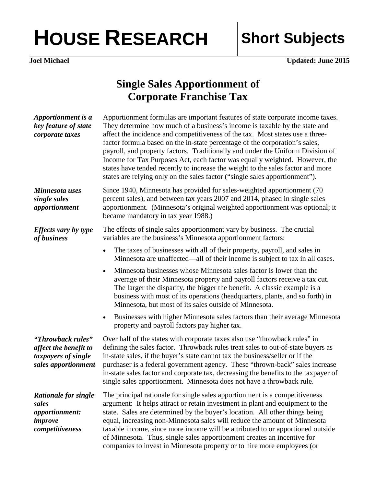## HOUSE RESEARCH Short Subjects

**Joel Michael Updated: June 2015** 

## **Single Sales Apportionment of Corporate Franchise Tax**

| Apportionment is a<br>key feature of state<br>corporate taxes                               | Apportionment formulas are important features of state corporate income taxes.<br>They determine how much of a business's income is taxable by the state and<br>affect the incidence and competitiveness of the tax. Most states use a three-<br>factor formula based on the in-state percentage of the corporation's sales,<br>payroll, and property factors. Traditionally and under the Uniform Division of<br>Income for Tax Purposes Act, each factor was equally weighted. However, the<br>states have tended recently to increase the weight to the sales factor and more<br>states are relying only on the sales factor ("single sales apportionment"). |
|---------------------------------------------------------------------------------------------|-----------------------------------------------------------------------------------------------------------------------------------------------------------------------------------------------------------------------------------------------------------------------------------------------------------------------------------------------------------------------------------------------------------------------------------------------------------------------------------------------------------------------------------------------------------------------------------------------------------------------------------------------------------------|
| Minnesota uses<br>single sales<br>apportionment                                             | Since 1940, Minnesota has provided for sales-weighted apportionment (70)<br>percent sales), and between tax years 2007 and 2014, phased in single sales<br>apportionment. (Minnesota's original weighted apportionment was optional; it<br>became mandatory in tax year 1988.)                                                                                                                                                                                                                                                                                                                                                                                  |
| Effects vary by type<br>of business                                                         | The effects of single sales apportionment vary by business. The crucial<br>variables are the business's Minnesota apportionment factors:                                                                                                                                                                                                                                                                                                                                                                                                                                                                                                                        |
|                                                                                             | The taxes of businesses with all of their property, payroll, and sales in<br>$\bullet$<br>Minnesota are unaffected—all of their income is subject to tax in all cases.                                                                                                                                                                                                                                                                                                                                                                                                                                                                                          |
|                                                                                             | Minnesota businesses whose Minnesota sales factor is lower than the<br>$\bullet$<br>average of their Minnesota property and payroll factors receive a tax cut.<br>The larger the disparity, the bigger the benefit. A classic example is a<br>business with most of its operations (headquarters, plants, and so forth) in<br>Minnesota, but most of its sales outside of Minnesota.                                                                                                                                                                                                                                                                            |
|                                                                                             | Businesses with higher Minnesota sales factors than their average Minnesota<br>$\bullet$<br>property and payroll factors pay higher tax.                                                                                                                                                                                                                                                                                                                                                                                                                                                                                                                        |
| "Throwback rules"<br>affect the benefit to<br>taxpayers of single<br>sales apportionment    | Over half of the states with corporate taxes also use "throwback rules" in<br>defining the sales factor. Throwback rules treat sales to out-of-state buyers as<br>in-state sales, if the buyer's state cannot tax the business/seller or if the<br>purchaser is a federal government agency. These "thrown-back" sales increase<br>in-state sales factor and corporate tax, decreasing the benefits to the taxpayer of<br>single sales apportionment. Minnesota does not have a throwback rule.                                                                                                                                                                 |
| <b>Rationale for single</b><br>sales<br><i>apportionment:</i><br>improve<br>competitiveness | The principal rationale for single sales apportionment is a competitiveness<br>argument: It helps attract or retain investment in plant and equipment to the<br>state. Sales are determined by the buyer's location. All other things being<br>equal, increasing non-Minnesota sales will reduce the amount of Minnesota<br>taxable income, since more income will be attributed to or apportioned outside<br>of Minnesota. Thus, single sales apportionment creates an incentive for<br>companies to invest in Minnesota property or to hire more employees (or                                                                                                |